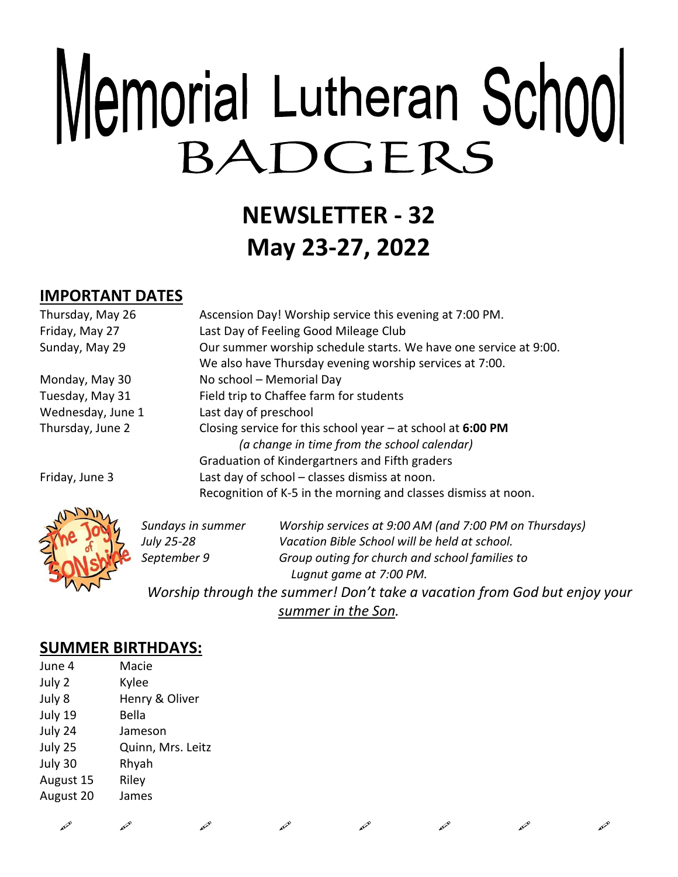# Memorial Lutheran School BADGERS

# **NEWSLETTER - 32 May 23-27, 2022**

## **IMPORTANT DATES**

| Thursday, May 26  | Ascension Day! Worship service this evening at 7:00 PM.                                                      |
|-------------------|--------------------------------------------------------------------------------------------------------------|
| Friday, May 27    | Last Day of Feeling Good Mileage Club                                                                        |
| Sunday, May 29    | Our summer worship schedule starts. We have one service at 9:00.                                             |
|                   | We also have Thursday evening worship services at 7:00.                                                      |
| Monday, May 30    | No school - Memorial Day                                                                                     |
| Tuesday, May 31   | Field trip to Chaffee farm for students                                                                      |
| Wednesday, June 1 | Last day of preschool                                                                                        |
| Thursday, June 2  | Closing service for this school year $-$ at school at 6:00 PM<br>(a change in time from the school calendar) |
|                   | Graduation of Kindergartners and Fifth graders                                                               |
| Friday, June 3    | Last day of school - classes dismiss at noon.                                                                |
|                   | Recognition of K-5 in the morning and classes dismiss at noon.                                               |
| ANVIA             |                                                                                                              |



| Sundays in summer | Worship services at 9:00 AM (and 7:00 PM on Thursdays) |
|-------------------|--------------------------------------------------------|
| July 25-28        | Vacation Bible School will be held at school.          |
| September 9       | Group outing for church and school families to         |
|                   | Lugnut game at 7:00 PM.                                |
|                   |                                                        |

 $\mathscr{L}$  and  $\mathscr{L}$  and  $\mathscr{L}$  and  $\mathscr{L}$  and  $\mathscr{L}$ 

*Worship through the summer! Don't take a vacation from God but enjoy your summer in the Son.*

### **SUMMER BIRTHDAYS:**

| June 4    | Macie             |
|-----------|-------------------|
| July 2    | Kylee             |
| July 8    | Henry & Oliver    |
| July 19   | Bella             |
| July 24   | Jameson           |
| July 25   | Quinn, Mrs. Leitz |
| July 30   | Rhyah             |
| August 15 | Riley             |
| August 20 | James             |
|           |                   |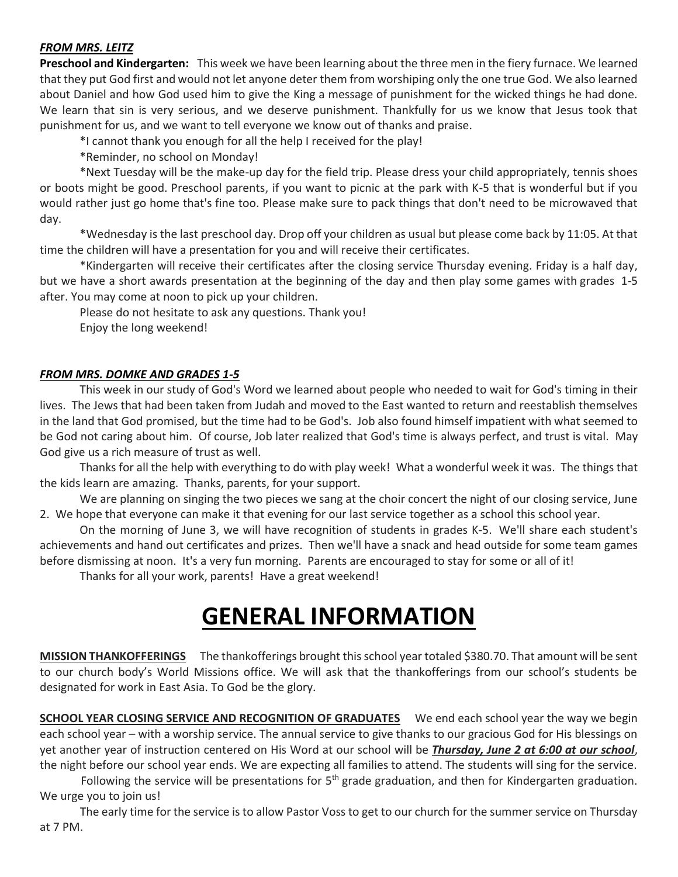#### *FROM MRS. LEITZ*

**Preschool and Kindergarten:** This week we have been learning about the three men in the fiery furnace. We learned that they put God first and would not let anyone deter them from worshiping only the one true God. We also learned about Daniel and how God used him to give the King a message of punishment for the wicked things he had done. We learn that sin is very serious, and we deserve punishment. Thankfully for us we know that Jesus took that punishment for us, and we want to tell everyone we know out of thanks and praise.

\*I cannot thank you enough for all the help I received for the play!

\*Reminder, no school on Monday!

\*Next Tuesday will be the make-up day for the field trip. Please dress your child appropriately, tennis shoes or boots might be good. Preschool parents, if you want to picnic at the park with K-5 that is wonderful but if you would rather just go home that's fine too. Please make sure to pack things that don't need to be microwaved that day.

\*Wednesday is the last preschool day. Drop off your children as usual but please come back by 11:05. At that time the children will have a presentation for you and will receive their certificates.

\*Kindergarten will receive their certificates after the closing service Thursday evening. Friday is a half day, but we have a short awards presentation at the beginning of the day and then play some games with grades 1-5 after. You may come at noon to pick up your children.

Please do not hesitate to ask any questions. Thank you! Enjoy the long weekend!

#### *FROM MRS. DOMKE AND GRADES 1-5*

This week in our study of God's Word we learned about people who needed to wait for God's timing in their lives. The Jews that had been taken from Judah and moved to the East wanted to return and reestablish themselves in the land that God promised, but the time had to be God's. Job also found himself impatient with what seemed to be God not caring about him. Of course, Job later realized that God's time is always perfect, and trust is vital. May God give us a rich measure of trust as well.

Thanks for all the help with everything to do with play week! What a wonderful week it was. The things that the kids learn are amazing. Thanks, parents, for your support.

We are planning on singing the two pieces we sang at the choir concert the night of our closing service, June 2. We hope that everyone can make it that evening for our last service together as a school this school year.

On the morning of June 3, we will have recognition of students in grades K-5. We'll share each student's achievements and hand out certificates and prizes. Then we'll have a snack and head outside for some team games before dismissing at noon. It's a very fun morning. Parents are encouraged to stay for some or all of it!

Thanks for all your work, parents! Have a great weekend!

## **GENERAL INFORMATION**

**MISSION THANKOFFERINGS** The thankofferings brought this school year totaled \$380.70. That amount will be sent to our church body's World Missions office. We will ask that the thankofferings from our school's students be designated for work in East Asia. To God be the glory.

**SCHOOL YEAR CLOSING SERVICE AND RECOGNITION OF GRADUATES** We end each school year the way we begin each school year – with a worship service. The annual service to give thanks to our gracious God for His blessings on yet another year of instruction centered on His Word at our school will be *Thursday, June 2 at 6:00 at our school*, the night before our school year ends. We are expecting all families to attend. The students will sing for the service.

Following the service will be presentations for  $5<sup>th</sup>$  grade graduation, and then for Kindergarten graduation. We urge you to join us!

 The early time for the service is to allow Pastor Voss to get to our church for the summer service on Thursday at 7 PM.